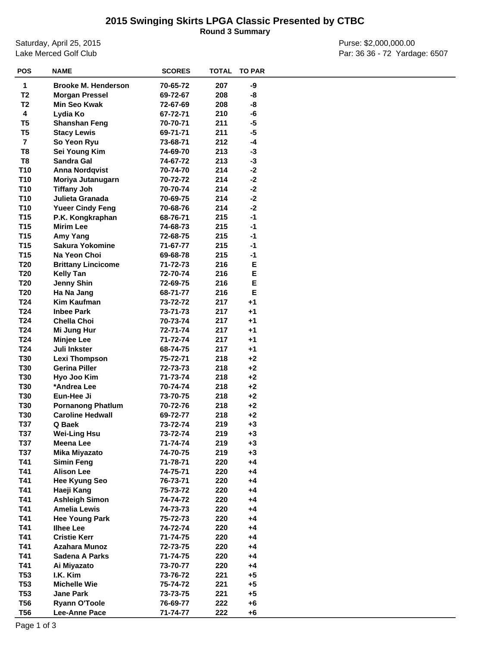## **2015 Swinging Skirts LPGA Classic Presented by CTBC**

**Round 3 Summary**

Saturday, April 25, 2015 Lake Merced Golf Club

Purse: \$2,000,000.00 Par: 36 36 - 72 Yardage: 6507

| <b>POS</b>      | <b>NAME</b>                | <b>SCORES</b> | <b>TOTAL</b> | <b>TO PAR</b> |  |
|-----------------|----------------------------|---------------|--------------|---------------|--|
| 1               | <b>Brooke M. Henderson</b> | 70-65-72      | 207          | -9            |  |
| T <sub>2</sub>  | <b>Morgan Pressel</b>      | 69-72-67      | 208          | -8            |  |
| T <sub>2</sub>  | Min Seo Kwak               | 72-67-69      | 208          | -8            |  |
| 4               | Lydia Ko                   | 67-72-71      | 210          | -6            |  |
| T <sub>5</sub>  | <b>Shanshan Feng</b>       | 70-70-71      | 211          | -5            |  |
| T <sub>5</sub>  | <b>Stacy Lewis</b>         |               | 211          | $-5$          |  |
| $\overline{7}$  |                            | 69-71-71      | 212          | -4            |  |
| T8              | So Yeon Ryu                | 73-68-71      |              |               |  |
|                 | Sei Young Kim              | 74-69-70      | 213          | $-3$          |  |
| T8              | Sandra Gal                 | 74-67-72      | 213          | $-3$          |  |
| T10             | <b>Anna Nordqvist</b>      | 70-74-70      | 214          | $-2$          |  |
| T <sub>10</sub> | Moriya Jutanugarn          | 70-72-72      | 214          | $-2$          |  |
| <b>T10</b>      | <b>Tiffany Joh</b>         | 70-70-74      | 214          | $-2$          |  |
| <b>T10</b>      | Julieta Granada            | 70-69-75      | 214          | $-2$          |  |
| <b>T10</b>      | <b>Yueer Cindy Feng</b>    | 70-68-76      | 214          | $-2$          |  |
| T <sub>15</sub> | P.K. Kongkraphan           | 68-76-71      | 215          | $-1$          |  |
| T <sub>15</sub> | <b>Mirim Lee</b>           | 74-68-73      | 215          | $-1$          |  |
| T <sub>15</sub> | Amy Yang                   | 72-68-75      | 215          | $-1$          |  |
| T <sub>15</sub> | <b>Sakura Yokomine</b>     | 71-67-77      | 215          | $-1$          |  |
| T <sub>15</sub> | Na Yeon Choi               | 69-68-78      | 215          | $-1$          |  |
| T <sub>20</sub> | <b>Brittany Lincicome</b>  | 71-72-73      | 216          | Е             |  |
| T <sub>20</sub> | <b>Kelly Tan</b>           | 72-70-74      | 216          | E             |  |
| T <sub>20</sub> | <b>Jenny Shin</b>          | 72-69-75      | 216          | E             |  |
| T <sub>20</sub> | Ha Na Jang                 | 68-71-77      | 216          | E             |  |
| T24             | Kim Kaufman                | 73-72-72      | 217          | $+1$          |  |
| T24             | <b>Inbee Park</b>          | 73-71-73      | 217          | $+1$          |  |
| T24             | <b>Chella Choi</b>         | 70-73-74      | 217          | $+1$          |  |
| T24             | Mi Jung Hur                | 72-71-74      | 217          | $+1$          |  |
| T24             | <b>Minjee Lee</b>          | 71-72-74      | 217          | $+1$          |  |
| T24             | Juli Inkster               | 68-74-75      | 217          | +1            |  |
| <b>T30</b>      | <b>Lexi Thompson</b>       | 75-72-71      | 218          | $+2$          |  |
| <b>T30</b>      | <b>Gerina Piller</b>       | 72-73-73      | 218          | $+2$          |  |
| <b>T30</b>      | Hyo Joo Kim                | 71-73-74      | 218          | $+2$          |  |
| <b>T30</b>      | *Andrea Lee                | 70-74-74      | 218          | $+2$          |  |
| <b>T30</b>      | Eun-Hee Ji                 | 73-70-75      | 218          | $+2$          |  |
| <b>T30</b>      | <b>Pornanong Phatlum</b>   | 70-72-76      | 218          | $+2$          |  |
| <b>T30</b>      | <b>Caroline Hedwall</b>    | 69-72-77      | 218          | $+2$          |  |
| T37             | Q Baek                     | 73-72-74      | 219          | $+3$          |  |
| T37             | <b>Wei-Ling Hsu</b>        | 73-72-74      | 219          | $+3$          |  |
| <b>T37</b>      | Meena Lee                  | 71-74-74      | 219          | $+3$          |  |
| T37             | Mika Miyazato              | 74-70-75      | 219          | $+3$          |  |
| T41             |                            | 71-78-71      |              | $+4$          |  |
| T41             | <b>Simin Feng</b>          |               | 220<br>220   | $+4$          |  |
|                 | <b>Alison Lee</b>          | 74-75-71      |              |               |  |
| T41             | <b>Hee Kyung Seo</b>       | 76-73-71      | 220          | $+4$          |  |
| T41             | Haeji Kang                 | 75-73-72      | 220          | $+4$          |  |
| T41             | <b>Ashleigh Simon</b>      | 74-74-72      | 220          | $+4$          |  |
| T41             | <b>Amelia Lewis</b>        | 74-73-73      | 220          | $+4$          |  |
| T41             | <b>Hee Young Park</b>      | 75-72-73      | 220          | $+4$          |  |
| T41             | <b>Ilhee Lee</b>           | 74-72-74      | 220          | $+4$          |  |
| T41             | <b>Cristie Kerr</b>        | 71-74-75      | 220          | $+4$          |  |
| T41             | Azahara Munoz              | 72-73-75      | 220          | $+4$          |  |
| T41             | Sadena A Parks             | 71-74-75      | 220          | $+4$          |  |
| T41             | Ai Miyazato                | 73-70-77      | 220          | $+4$          |  |
| <b>T53</b>      | I.K. Kim                   | 73-76-72      | 221          | +5            |  |
| <b>T53</b>      | <b>Michelle Wie</b>        | 75-74-72      | 221          | +5            |  |
| <b>T53</b>      | <b>Jane Park</b>           | 73-73-75      | 221          | $+5$          |  |
| <b>T56</b>      | <b>Ryann O'Toole</b>       | 76-69-77      | 222          | +6            |  |
| <b>T56</b>      | Lee-Anne Pace              | 71-74-77      | 222          | +6            |  |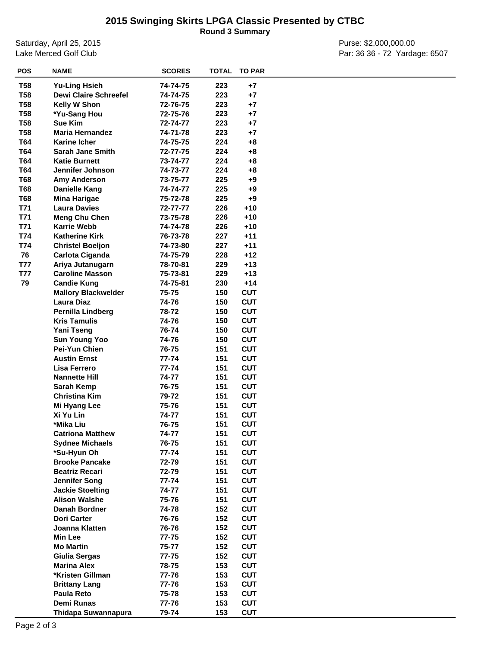## **2015 Swinging Skirts LPGA Classic Presented by CTBC**

**Round 3 Summary**

Saturday, April 25, 2015 Lake Merced Golf Club

Purse: \$2,000,000.00 Par: 36 36 - 72 Yardage: 6507

| <b>T58</b><br><b>Yu-Ling Hsieh</b><br>223<br>$+7$<br>74-74-75<br><b>T58</b><br><b>Dewi Claire Schreefel</b><br>223<br>$+7$<br>74-74-75<br><b>T58</b><br>223<br>Kelly W Shon<br>72-76-75<br>$+7$<br><b>T58</b><br>*Yu-Sang Hou<br>72-75-76<br>223<br>$+7$<br><b>T58</b><br>Sue Kim<br>223<br>$+7$<br>72-74-77<br><b>T58</b><br><b>Maria Hernandez</b><br>223<br>74-71-78<br>$+7$<br>T64<br><b>Karine Icher</b><br>74-75-75<br>224<br>$+8$<br>T64<br><b>Sarah Jane Smith</b><br>224<br>72-77-75<br>$+8$<br>T64<br><b>Katie Burnett</b><br>224<br>73-74-77<br>+8<br>T64<br>Jennifer Johnson<br>224<br>74-73-77<br>+8<br><b>T68</b><br>225<br><b>Amy Anderson</b><br>73-75-77<br>$+9$<br><b>T68</b><br><b>Danielle Kang</b><br>225<br>74-74-77<br>$+9$<br><b>T68</b><br>225<br>$+9$<br><b>Mina Harigae</b><br>75-72-78<br>T71<br><b>Laura Davies</b><br>$+10$<br>72-77-77<br>226<br>T71<br><b>Meng Chu Chen</b><br>226<br>$+10$<br>73-75-78<br>T71<br><b>Karrie Webb</b><br>74-74-78<br>226<br>$+10$<br>T74<br>$+11$<br><b>Katherine Kirk</b><br>227<br>76-73-78<br>T74<br>$+11$<br><b>Christel Boeljon</b><br>74-73-80<br>227<br>76<br>$+12$<br>Carlota Ciganda<br>74-75-79<br>228<br><b>T77</b><br>$+13$<br>Ariya Jutanugarn<br>78-70-81<br>229<br><b>T77</b><br><b>Caroline Masson</b><br>229<br>$+13$<br>75-73-81<br>79<br><b>Candie Kung</b><br>74-75-81<br>230<br>$+14$<br>75-75<br>150<br><b>CUT</b><br><b>Mallory Blackwelder</b><br>150<br><b>CUT</b><br>Laura Diaz<br>74-76<br>Pernilla Lindberg<br>150<br><b>CUT</b><br>78-72<br><b>Kris Tamulis</b><br>74-76<br>150<br><b>CUT</b><br>Yani Tseng<br>76-74<br>150<br><b>CUT</b><br>74-76<br>150<br><b>CUT</b><br><b>Sun Young Yoo</b><br>Pei-Yun Chien<br>76-75<br><b>CUT</b><br>151<br><b>Austin Ernst</b><br>77-74<br><b>CUT</b><br>151<br>Lisa Ferrero<br>77-74<br>151<br><b>CUT</b><br>151<br><b>CUT</b><br><b>Nannette Hill</b><br>74-77<br>76-75<br>151<br><b>CUT</b><br>Sarah Kemp<br>79-72<br>151<br><b>CUT</b><br><b>Christina Kim</b><br>75-76<br>151<br><b>CUT</b><br>Mi Hyang Lee<br><b>CUT</b><br>Xi Yu Lin<br>74-77<br>151<br>*Mika Liu<br>76-75<br>151<br><b>CUT</b><br>151<br>74-77<br><b>CUT</b><br><b>Catriona Matthew</b><br>151<br><b>CUT</b><br><b>Sydnee Michaels</b><br>76-75<br>*Su-Hyun Oh<br>77-74<br>151<br><b>CUT</b><br><b>CUT</b><br><b>Brooke Pancake</b><br>72-79<br>151<br><b>CUT</b><br><b>Beatriz Recari</b><br>72-79<br>151<br><b>CUT</b><br>77-74<br>151<br>Jennifer Song<br><b>Jackie Stoelting</b><br>151<br><b>CUT</b><br>74-77<br><b>CUT</b><br><b>Alison Walshe</b><br>75-76<br>151<br>Danah Bordner<br>74-78<br>152<br><b>CUT</b><br><b>CUT</b><br><b>Dori Carter</b><br>76-76<br>152<br>152<br><b>CUT</b><br>Joanna Klatten<br>76-76<br>152<br><b>CUT</b><br>$77 - 75$<br><b>Min Lee</b><br>152<br><b>Mo Martin</b><br>75-77<br><b>CUT</b><br><b>CUT</b><br>Giulia Sergas<br>$77 - 75$<br>152<br><b>CUT</b><br><b>Marina Alex</b><br>78-75<br>153<br><b>CUT</b><br>*Kristen Gillman<br>77-76<br>153<br><b>CUT</b><br>77-76<br>153<br><b>Brittany Lang</b><br><b>CUT</b><br>Paula Reto<br>75-78<br>153<br>153<br><b>CUT</b><br>Demi Runas<br>77-76<br>Thidapa Suwannapura<br>153<br><b>CUT</b><br>79-74 | <b>POS</b> | <b>NAME</b> | <b>SCORES</b> | <b>TOTAL</b> | <b>TO PAR</b> |  |
|----------------------------------------------------------------------------------------------------------------------------------------------------------------------------------------------------------------------------------------------------------------------------------------------------------------------------------------------------------------------------------------------------------------------------------------------------------------------------------------------------------------------------------------------------------------------------------------------------------------------------------------------------------------------------------------------------------------------------------------------------------------------------------------------------------------------------------------------------------------------------------------------------------------------------------------------------------------------------------------------------------------------------------------------------------------------------------------------------------------------------------------------------------------------------------------------------------------------------------------------------------------------------------------------------------------------------------------------------------------------------------------------------------------------------------------------------------------------------------------------------------------------------------------------------------------------------------------------------------------------------------------------------------------------------------------------------------------------------------------------------------------------------------------------------------------------------------------------------------------------------------------------------------------------------------------------------------------------------------------------------------------------------------------------------------------------------------------------------------------------------------------------------------------------------------------------------------------------------------------------------------------------------------------------------------------------------------------------------------------------------------------------------------------------------------------------------------------------------------------------------------------------------------------------------------------------------------------------------------------------------------------------------------------------------------------------------------------------------------------------------------------------------------------------------------------------------------------------------------------------------------------------------------------------------------------------------------------------------------------------------------------------------------------------------------------------------------------------------------------------------------------------------------------------------------------------------------|------------|-------------|---------------|--------------|---------------|--|
|                                                                                                                                                                                                                                                                                                                                                                                                                                                                                                                                                                                                                                                                                                                                                                                                                                                                                                                                                                                                                                                                                                                                                                                                                                                                                                                                                                                                                                                                                                                                                                                                                                                                                                                                                                                                                                                                                                                                                                                                                                                                                                                                                                                                                                                                                                                                                                                                                                                                                                                                                                                                                                                                                                                                                                                                                                                                                                                                                                                                                                                                                                                                                                                                          |            |             |               |              |               |  |
|                                                                                                                                                                                                                                                                                                                                                                                                                                                                                                                                                                                                                                                                                                                                                                                                                                                                                                                                                                                                                                                                                                                                                                                                                                                                                                                                                                                                                                                                                                                                                                                                                                                                                                                                                                                                                                                                                                                                                                                                                                                                                                                                                                                                                                                                                                                                                                                                                                                                                                                                                                                                                                                                                                                                                                                                                                                                                                                                                                                                                                                                                                                                                                                                          |            |             |               |              |               |  |
|                                                                                                                                                                                                                                                                                                                                                                                                                                                                                                                                                                                                                                                                                                                                                                                                                                                                                                                                                                                                                                                                                                                                                                                                                                                                                                                                                                                                                                                                                                                                                                                                                                                                                                                                                                                                                                                                                                                                                                                                                                                                                                                                                                                                                                                                                                                                                                                                                                                                                                                                                                                                                                                                                                                                                                                                                                                                                                                                                                                                                                                                                                                                                                                                          |            |             |               |              |               |  |
|                                                                                                                                                                                                                                                                                                                                                                                                                                                                                                                                                                                                                                                                                                                                                                                                                                                                                                                                                                                                                                                                                                                                                                                                                                                                                                                                                                                                                                                                                                                                                                                                                                                                                                                                                                                                                                                                                                                                                                                                                                                                                                                                                                                                                                                                                                                                                                                                                                                                                                                                                                                                                                                                                                                                                                                                                                                                                                                                                                                                                                                                                                                                                                                                          |            |             |               |              |               |  |
|                                                                                                                                                                                                                                                                                                                                                                                                                                                                                                                                                                                                                                                                                                                                                                                                                                                                                                                                                                                                                                                                                                                                                                                                                                                                                                                                                                                                                                                                                                                                                                                                                                                                                                                                                                                                                                                                                                                                                                                                                                                                                                                                                                                                                                                                                                                                                                                                                                                                                                                                                                                                                                                                                                                                                                                                                                                                                                                                                                                                                                                                                                                                                                                                          |            |             |               |              |               |  |
|                                                                                                                                                                                                                                                                                                                                                                                                                                                                                                                                                                                                                                                                                                                                                                                                                                                                                                                                                                                                                                                                                                                                                                                                                                                                                                                                                                                                                                                                                                                                                                                                                                                                                                                                                                                                                                                                                                                                                                                                                                                                                                                                                                                                                                                                                                                                                                                                                                                                                                                                                                                                                                                                                                                                                                                                                                                                                                                                                                                                                                                                                                                                                                                                          |            |             |               |              |               |  |
|                                                                                                                                                                                                                                                                                                                                                                                                                                                                                                                                                                                                                                                                                                                                                                                                                                                                                                                                                                                                                                                                                                                                                                                                                                                                                                                                                                                                                                                                                                                                                                                                                                                                                                                                                                                                                                                                                                                                                                                                                                                                                                                                                                                                                                                                                                                                                                                                                                                                                                                                                                                                                                                                                                                                                                                                                                                                                                                                                                                                                                                                                                                                                                                                          |            |             |               |              |               |  |
|                                                                                                                                                                                                                                                                                                                                                                                                                                                                                                                                                                                                                                                                                                                                                                                                                                                                                                                                                                                                                                                                                                                                                                                                                                                                                                                                                                                                                                                                                                                                                                                                                                                                                                                                                                                                                                                                                                                                                                                                                                                                                                                                                                                                                                                                                                                                                                                                                                                                                                                                                                                                                                                                                                                                                                                                                                                                                                                                                                                                                                                                                                                                                                                                          |            |             |               |              |               |  |
|                                                                                                                                                                                                                                                                                                                                                                                                                                                                                                                                                                                                                                                                                                                                                                                                                                                                                                                                                                                                                                                                                                                                                                                                                                                                                                                                                                                                                                                                                                                                                                                                                                                                                                                                                                                                                                                                                                                                                                                                                                                                                                                                                                                                                                                                                                                                                                                                                                                                                                                                                                                                                                                                                                                                                                                                                                                                                                                                                                                                                                                                                                                                                                                                          |            |             |               |              |               |  |
|                                                                                                                                                                                                                                                                                                                                                                                                                                                                                                                                                                                                                                                                                                                                                                                                                                                                                                                                                                                                                                                                                                                                                                                                                                                                                                                                                                                                                                                                                                                                                                                                                                                                                                                                                                                                                                                                                                                                                                                                                                                                                                                                                                                                                                                                                                                                                                                                                                                                                                                                                                                                                                                                                                                                                                                                                                                                                                                                                                                                                                                                                                                                                                                                          |            |             |               |              |               |  |
|                                                                                                                                                                                                                                                                                                                                                                                                                                                                                                                                                                                                                                                                                                                                                                                                                                                                                                                                                                                                                                                                                                                                                                                                                                                                                                                                                                                                                                                                                                                                                                                                                                                                                                                                                                                                                                                                                                                                                                                                                                                                                                                                                                                                                                                                                                                                                                                                                                                                                                                                                                                                                                                                                                                                                                                                                                                                                                                                                                                                                                                                                                                                                                                                          |            |             |               |              |               |  |
|                                                                                                                                                                                                                                                                                                                                                                                                                                                                                                                                                                                                                                                                                                                                                                                                                                                                                                                                                                                                                                                                                                                                                                                                                                                                                                                                                                                                                                                                                                                                                                                                                                                                                                                                                                                                                                                                                                                                                                                                                                                                                                                                                                                                                                                                                                                                                                                                                                                                                                                                                                                                                                                                                                                                                                                                                                                                                                                                                                                                                                                                                                                                                                                                          |            |             |               |              |               |  |
|                                                                                                                                                                                                                                                                                                                                                                                                                                                                                                                                                                                                                                                                                                                                                                                                                                                                                                                                                                                                                                                                                                                                                                                                                                                                                                                                                                                                                                                                                                                                                                                                                                                                                                                                                                                                                                                                                                                                                                                                                                                                                                                                                                                                                                                                                                                                                                                                                                                                                                                                                                                                                                                                                                                                                                                                                                                                                                                                                                                                                                                                                                                                                                                                          |            |             |               |              |               |  |
|                                                                                                                                                                                                                                                                                                                                                                                                                                                                                                                                                                                                                                                                                                                                                                                                                                                                                                                                                                                                                                                                                                                                                                                                                                                                                                                                                                                                                                                                                                                                                                                                                                                                                                                                                                                                                                                                                                                                                                                                                                                                                                                                                                                                                                                                                                                                                                                                                                                                                                                                                                                                                                                                                                                                                                                                                                                                                                                                                                                                                                                                                                                                                                                                          |            |             |               |              |               |  |
|                                                                                                                                                                                                                                                                                                                                                                                                                                                                                                                                                                                                                                                                                                                                                                                                                                                                                                                                                                                                                                                                                                                                                                                                                                                                                                                                                                                                                                                                                                                                                                                                                                                                                                                                                                                                                                                                                                                                                                                                                                                                                                                                                                                                                                                                                                                                                                                                                                                                                                                                                                                                                                                                                                                                                                                                                                                                                                                                                                                                                                                                                                                                                                                                          |            |             |               |              |               |  |
|                                                                                                                                                                                                                                                                                                                                                                                                                                                                                                                                                                                                                                                                                                                                                                                                                                                                                                                                                                                                                                                                                                                                                                                                                                                                                                                                                                                                                                                                                                                                                                                                                                                                                                                                                                                                                                                                                                                                                                                                                                                                                                                                                                                                                                                                                                                                                                                                                                                                                                                                                                                                                                                                                                                                                                                                                                                                                                                                                                                                                                                                                                                                                                                                          |            |             |               |              |               |  |
|                                                                                                                                                                                                                                                                                                                                                                                                                                                                                                                                                                                                                                                                                                                                                                                                                                                                                                                                                                                                                                                                                                                                                                                                                                                                                                                                                                                                                                                                                                                                                                                                                                                                                                                                                                                                                                                                                                                                                                                                                                                                                                                                                                                                                                                                                                                                                                                                                                                                                                                                                                                                                                                                                                                                                                                                                                                                                                                                                                                                                                                                                                                                                                                                          |            |             |               |              |               |  |
|                                                                                                                                                                                                                                                                                                                                                                                                                                                                                                                                                                                                                                                                                                                                                                                                                                                                                                                                                                                                                                                                                                                                                                                                                                                                                                                                                                                                                                                                                                                                                                                                                                                                                                                                                                                                                                                                                                                                                                                                                                                                                                                                                                                                                                                                                                                                                                                                                                                                                                                                                                                                                                                                                                                                                                                                                                                                                                                                                                                                                                                                                                                                                                                                          |            |             |               |              |               |  |
|                                                                                                                                                                                                                                                                                                                                                                                                                                                                                                                                                                                                                                                                                                                                                                                                                                                                                                                                                                                                                                                                                                                                                                                                                                                                                                                                                                                                                                                                                                                                                                                                                                                                                                                                                                                                                                                                                                                                                                                                                                                                                                                                                                                                                                                                                                                                                                                                                                                                                                                                                                                                                                                                                                                                                                                                                                                                                                                                                                                                                                                                                                                                                                                                          |            |             |               |              |               |  |
|                                                                                                                                                                                                                                                                                                                                                                                                                                                                                                                                                                                                                                                                                                                                                                                                                                                                                                                                                                                                                                                                                                                                                                                                                                                                                                                                                                                                                                                                                                                                                                                                                                                                                                                                                                                                                                                                                                                                                                                                                                                                                                                                                                                                                                                                                                                                                                                                                                                                                                                                                                                                                                                                                                                                                                                                                                                                                                                                                                                                                                                                                                                                                                                                          |            |             |               |              |               |  |
|                                                                                                                                                                                                                                                                                                                                                                                                                                                                                                                                                                                                                                                                                                                                                                                                                                                                                                                                                                                                                                                                                                                                                                                                                                                                                                                                                                                                                                                                                                                                                                                                                                                                                                                                                                                                                                                                                                                                                                                                                                                                                                                                                                                                                                                                                                                                                                                                                                                                                                                                                                                                                                                                                                                                                                                                                                                                                                                                                                                                                                                                                                                                                                                                          |            |             |               |              |               |  |
|                                                                                                                                                                                                                                                                                                                                                                                                                                                                                                                                                                                                                                                                                                                                                                                                                                                                                                                                                                                                                                                                                                                                                                                                                                                                                                                                                                                                                                                                                                                                                                                                                                                                                                                                                                                                                                                                                                                                                                                                                                                                                                                                                                                                                                                                                                                                                                                                                                                                                                                                                                                                                                                                                                                                                                                                                                                                                                                                                                                                                                                                                                                                                                                                          |            |             |               |              |               |  |
|                                                                                                                                                                                                                                                                                                                                                                                                                                                                                                                                                                                                                                                                                                                                                                                                                                                                                                                                                                                                                                                                                                                                                                                                                                                                                                                                                                                                                                                                                                                                                                                                                                                                                                                                                                                                                                                                                                                                                                                                                                                                                                                                                                                                                                                                                                                                                                                                                                                                                                                                                                                                                                                                                                                                                                                                                                                                                                                                                                                                                                                                                                                                                                                                          |            |             |               |              |               |  |
|                                                                                                                                                                                                                                                                                                                                                                                                                                                                                                                                                                                                                                                                                                                                                                                                                                                                                                                                                                                                                                                                                                                                                                                                                                                                                                                                                                                                                                                                                                                                                                                                                                                                                                                                                                                                                                                                                                                                                                                                                                                                                                                                                                                                                                                                                                                                                                                                                                                                                                                                                                                                                                                                                                                                                                                                                                                                                                                                                                                                                                                                                                                                                                                                          |            |             |               |              |               |  |
|                                                                                                                                                                                                                                                                                                                                                                                                                                                                                                                                                                                                                                                                                                                                                                                                                                                                                                                                                                                                                                                                                                                                                                                                                                                                                                                                                                                                                                                                                                                                                                                                                                                                                                                                                                                                                                                                                                                                                                                                                                                                                                                                                                                                                                                                                                                                                                                                                                                                                                                                                                                                                                                                                                                                                                                                                                                                                                                                                                                                                                                                                                                                                                                                          |            |             |               |              |               |  |
|                                                                                                                                                                                                                                                                                                                                                                                                                                                                                                                                                                                                                                                                                                                                                                                                                                                                                                                                                                                                                                                                                                                                                                                                                                                                                                                                                                                                                                                                                                                                                                                                                                                                                                                                                                                                                                                                                                                                                                                                                                                                                                                                                                                                                                                                                                                                                                                                                                                                                                                                                                                                                                                                                                                                                                                                                                                                                                                                                                                                                                                                                                                                                                                                          |            |             |               |              |               |  |
|                                                                                                                                                                                                                                                                                                                                                                                                                                                                                                                                                                                                                                                                                                                                                                                                                                                                                                                                                                                                                                                                                                                                                                                                                                                                                                                                                                                                                                                                                                                                                                                                                                                                                                                                                                                                                                                                                                                                                                                                                                                                                                                                                                                                                                                                                                                                                                                                                                                                                                                                                                                                                                                                                                                                                                                                                                                                                                                                                                                                                                                                                                                                                                                                          |            |             |               |              |               |  |
|                                                                                                                                                                                                                                                                                                                                                                                                                                                                                                                                                                                                                                                                                                                                                                                                                                                                                                                                                                                                                                                                                                                                                                                                                                                                                                                                                                                                                                                                                                                                                                                                                                                                                                                                                                                                                                                                                                                                                                                                                                                                                                                                                                                                                                                                                                                                                                                                                                                                                                                                                                                                                                                                                                                                                                                                                                                                                                                                                                                                                                                                                                                                                                                                          |            |             |               |              |               |  |
|                                                                                                                                                                                                                                                                                                                                                                                                                                                                                                                                                                                                                                                                                                                                                                                                                                                                                                                                                                                                                                                                                                                                                                                                                                                                                                                                                                                                                                                                                                                                                                                                                                                                                                                                                                                                                                                                                                                                                                                                                                                                                                                                                                                                                                                                                                                                                                                                                                                                                                                                                                                                                                                                                                                                                                                                                                                                                                                                                                                                                                                                                                                                                                                                          |            |             |               |              |               |  |
|                                                                                                                                                                                                                                                                                                                                                                                                                                                                                                                                                                                                                                                                                                                                                                                                                                                                                                                                                                                                                                                                                                                                                                                                                                                                                                                                                                                                                                                                                                                                                                                                                                                                                                                                                                                                                                                                                                                                                                                                                                                                                                                                                                                                                                                                                                                                                                                                                                                                                                                                                                                                                                                                                                                                                                                                                                                                                                                                                                                                                                                                                                                                                                                                          |            |             |               |              |               |  |
|                                                                                                                                                                                                                                                                                                                                                                                                                                                                                                                                                                                                                                                                                                                                                                                                                                                                                                                                                                                                                                                                                                                                                                                                                                                                                                                                                                                                                                                                                                                                                                                                                                                                                                                                                                                                                                                                                                                                                                                                                                                                                                                                                                                                                                                                                                                                                                                                                                                                                                                                                                                                                                                                                                                                                                                                                                                                                                                                                                                                                                                                                                                                                                                                          |            |             |               |              |               |  |
|                                                                                                                                                                                                                                                                                                                                                                                                                                                                                                                                                                                                                                                                                                                                                                                                                                                                                                                                                                                                                                                                                                                                                                                                                                                                                                                                                                                                                                                                                                                                                                                                                                                                                                                                                                                                                                                                                                                                                                                                                                                                                                                                                                                                                                                                                                                                                                                                                                                                                                                                                                                                                                                                                                                                                                                                                                                                                                                                                                                                                                                                                                                                                                                                          |            |             |               |              |               |  |
|                                                                                                                                                                                                                                                                                                                                                                                                                                                                                                                                                                                                                                                                                                                                                                                                                                                                                                                                                                                                                                                                                                                                                                                                                                                                                                                                                                                                                                                                                                                                                                                                                                                                                                                                                                                                                                                                                                                                                                                                                                                                                                                                                                                                                                                                                                                                                                                                                                                                                                                                                                                                                                                                                                                                                                                                                                                                                                                                                                                                                                                                                                                                                                                                          |            |             |               |              |               |  |
|                                                                                                                                                                                                                                                                                                                                                                                                                                                                                                                                                                                                                                                                                                                                                                                                                                                                                                                                                                                                                                                                                                                                                                                                                                                                                                                                                                                                                                                                                                                                                                                                                                                                                                                                                                                                                                                                                                                                                                                                                                                                                                                                                                                                                                                                                                                                                                                                                                                                                                                                                                                                                                                                                                                                                                                                                                                                                                                                                                                                                                                                                                                                                                                                          |            |             |               |              |               |  |
|                                                                                                                                                                                                                                                                                                                                                                                                                                                                                                                                                                                                                                                                                                                                                                                                                                                                                                                                                                                                                                                                                                                                                                                                                                                                                                                                                                                                                                                                                                                                                                                                                                                                                                                                                                                                                                                                                                                                                                                                                                                                                                                                                                                                                                                                                                                                                                                                                                                                                                                                                                                                                                                                                                                                                                                                                                                                                                                                                                                                                                                                                                                                                                                                          |            |             |               |              |               |  |
|                                                                                                                                                                                                                                                                                                                                                                                                                                                                                                                                                                                                                                                                                                                                                                                                                                                                                                                                                                                                                                                                                                                                                                                                                                                                                                                                                                                                                                                                                                                                                                                                                                                                                                                                                                                                                                                                                                                                                                                                                                                                                                                                                                                                                                                                                                                                                                                                                                                                                                                                                                                                                                                                                                                                                                                                                                                                                                                                                                                                                                                                                                                                                                                                          |            |             |               |              |               |  |
|                                                                                                                                                                                                                                                                                                                                                                                                                                                                                                                                                                                                                                                                                                                                                                                                                                                                                                                                                                                                                                                                                                                                                                                                                                                                                                                                                                                                                                                                                                                                                                                                                                                                                                                                                                                                                                                                                                                                                                                                                                                                                                                                                                                                                                                                                                                                                                                                                                                                                                                                                                                                                                                                                                                                                                                                                                                                                                                                                                                                                                                                                                                                                                                                          |            |             |               |              |               |  |
|                                                                                                                                                                                                                                                                                                                                                                                                                                                                                                                                                                                                                                                                                                                                                                                                                                                                                                                                                                                                                                                                                                                                                                                                                                                                                                                                                                                                                                                                                                                                                                                                                                                                                                                                                                                                                                                                                                                                                                                                                                                                                                                                                                                                                                                                                                                                                                                                                                                                                                                                                                                                                                                                                                                                                                                                                                                                                                                                                                                                                                                                                                                                                                                                          |            |             |               |              |               |  |
|                                                                                                                                                                                                                                                                                                                                                                                                                                                                                                                                                                                                                                                                                                                                                                                                                                                                                                                                                                                                                                                                                                                                                                                                                                                                                                                                                                                                                                                                                                                                                                                                                                                                                                                                                                                                                                                                                                                                                                                                                                                                                                                                                                                                                                                                                                                                                                                                                                                                                                                                                                                                                                                                                                                                                                                                                                                                                                                                                                                                                                                                                                                                                                                                          |            |             |               |              |               |  |
|                                                                                                                                                                                                                                                                                                                                                                                                                                                                                                                                                                                                                                                                                                                                                                                                                                                                                                                                                                                                                                                                                                                                                                                                                                                                                                                                                                                                                                                                                                                                                                                                                                                                                                                                                                                                                                                                                                                                                                                                                                                                                                                                                                                                                                                                                                                                                                                                                                                                                                                                                                                                                                                                                                                                                                                                                                                                                                                                                                                                                                                                                                                                                                                                          |            |             |               |              |               |  |
|                                                                                                                                                                                                                                                                                                                                                                                                                                                                                                                                                                                                                                                                                                                                                                                                                                                                                                                                                                                                                                                                                                                                                                                                                                                                                                                                                                                                                                                                                                                                                                                                                                                                                                                                                                                                                                                                                                                                                                                                                                                                                                                                                                                                                                                                                                                                                                                                                                                                                                                                                                                                                                                                                                                                                                                                                                                                                                                                                                                                                                                                                                                                                                                                          |            |             |               |              |               |  |
|                                                                                                                                                                                                                                                                                                                                                                                                                                                                                                                                                                                                                                                                                                                                                                                                                                                                                                                                                                                                                                                                                                                                                                                                                                                                                                                                                                                                                                                                                                                                                                                                                                                                                                                                                                                                                                                                                                                                                                                                                                                                                                                                                                                                                                                                                                                                                                                                                                                                                                                                                                                                                                                                                                                                                                                                                                                                                                                                                                                                                                                                                                                                                                                                          |            |             |               |              |               |  |
|                                                                                                                                                                                                                                                                                                                                                                                                                                                                                                                                                                                                                                                                                                                                                                                                                                                                                                                                                                                                                                                                                                                                                                                                                                                                                                                                                                                                                                                                                                                                                                                                                                                                                                                                                                                                                                                                                                                                                                                                                                                                                                                                                                                                                                                                                                                                                                                                                                                                                                                                                                                                                                                                                                                                                                                                                                                                                                                                                                                                                                                                                                                                                                                                          |            |             |               |              |               |  |
|                                                                                                                                                                                                                                                                                                                                                                                                                                                                                                                                                                                                                                                                                                                                                                                                                                                                                                                                                                                                                                                                                                                                                                                                                                                                                                                                                                                                                                                                                                                                                                                                                                                                                                                                                                                                                                                                                                                                                                                                                                                                                                                                                                                                                                                                                                                                                                                                                                                                                                                                                                                                                                                                                                                                                                                                                                                                                                                                                                                                                                                                                                                                                                                                          |            |             |               |              |               |  |
|                                                                                                                                                                                                                                                                                                                                                                                                                                                                                                                                                                                                                                                                                                                                                                                                                                                                                                                                                                                                                                                                                                                                                                                                                                                                                                                                                                                                                                                                                                                                                                                                                                                                                                                                                                                                                                                                                                                                                                                                                                                                                                                                                                                                                                                                                                                                                                                                                                                                                                                                                                                                                                                                                                                                                                                                                                                                                                                                                                                                                                                                                                                                                                                                          |            |             |               |              |               |  |
|                                                                                                                                                                                                                                                                                                                                                                                                                                                                                                                                                                                                                                                                                                                                                                                                                                                                                                                                                                                                                                                                                                                                                                                                                                                                                                                                                                                                                                                                                                                                                                                                                                                                                                                                                                                                                                                                                                                                                                                                                                                                                                                                                                                                                                                                                                                                                                                                                                                                                                                                                                                                                                                                                                                                                                                                                                                                                                                                                                                                                                                                                                                                                                                                          |            |             |               |              |               |  |
|                                                                                                                                                                                                                                                                                                                                                                                                                                                                                                                                                                                                                                                                                                                                                                                                                                                                                                                                                                                                                                                                                                                                                                                                                                                                                                                                                                                                                                                                                                                                                                                                                                                                                                                                                                                                                                                                                                                                                                                                                                                                                                                                                                                                                                                                                                                                                                                                                                                                                                                                                                                                                                                                                                                                                                                                                                                                                                                                                                                                                                                                                                                                                                                                          |            |             |               |              |               |  |
|                                                                                                                                                                                                                                                                                                                                                                                                                                                                                                                                                                                                                                                                                                                                                                                                                                                                                                                                                                                                                                                                                                                                                                                                                                                                                                                                                                                                                                                                                                                                                                                                                                                                                                                                                                                                                                                                                                                                                                                                                                                                                                                                                                                                                                                                                                                                                                                                                                                                                                                                                                                                                                                                                                                                                                                                                                                                                                                                                                                                                                                                                                                                                                                                          |            |             |               |              |               |  |
|                                                                                                                                                                                                                                                                                                                                                                                                                                                                                                                                                                                                                                                                                                                                                                                                                                                                                                                                                                                                                                                                                                                                                                                                                                                                                                                                                                                                                                                                                                                                                                                                                                                                                                                                                                                                                                                                                                                                                                                                                                                                                                                                                                                                                                                                                                                                                                                                                                                                                                                                                                                                                                                                                                                                                                                                                                                                                                                                                                                                                                                                                                                                                                                                          |            |             |               |              |               |  |
|                                                                                                                                                                                                                                                                                                                                                                                                                                                                                                                                                                                                                                                                                                                                                                                                                                                                                                                                                                                                                                                                                                                                                                                                                                                                                                                                                                                                                                                                                                                                                                                                                                                                                                                                                                                                                                                                                                                                                                                                                                                                                                                                                                                                                                                                                                                                                                                                                                                                                                                                                                                                                                                                                                                                                                                                                                                                                                                                                                                                                                                                                                                                                                                                          |            |             |               |              |               |  |
|                                                                                                                                                                                                                                                                                                                                                                                                                                                                                                                                                                                                                                                                                                                                                                                                                                                                                                                                                                                                                                                                                                                                                                                                                                                                                                                                                                                                                                                                                                                                                                                                                                                                                                                                                                                                                                                                                                                                                                                                                                                                                                                                                                                                                                                                                                                                                                                                                                                                                                                                                                                                                                                                                                                                                                                                                                                                                                                                                                                                                                                                                                                                                                                                          |            |             |               |              |               |  |
|                                                                                                                                                                                                                                                                                                                                                                                                                                                                                                                                                                                                                                                                                                                                                                                                                                                                                                                                                                                                                                                                                                                                                                                                                                                                                                                                                                                                                                                                                                                                                                                                                                                                                                                                                                                                                                                                                                                                                                                                                                                                                                                                                                                                                                                                                                                                                                                                                                                                                                                                                                                                                                                                                                                                                                                                                                                                                                                                                                                                                                                                                                                                                                                                          |            |             |               |              |               |  |
|                                                                                                                                                                                                                                                                                                                                                                                                                                                                                                                                                                                                                                                                                                                                                                                                                                                                                                                                                                                                                                                                                                                                                                                                                                                                                                                                                                                                                                                                                                                                                                                                                                                                                                                                                                                                                                                                                                                                                                                                                                                                                                                                                                                                                                                                                                                                                                                                                                                                                                                                                                                                                                                                                                                                                                                                                                                                                                                                                                                                                                                                                                                                                                                                          |            |             |               |              |               |  |
|                                                                                                                                                                                                                                                                                                                                                                                                                                                                                                                                                                                                                                                                                                                                                                                                                                                                                                                                                                                                                                                                                                                                                                                                                                                                                                                                                                                                                                                                                                                                                                                                                                                                                                                                                                                                                                                                                                                                                                                                                                                                                                                                                                                                                                                                                                                                                                                                                                                                                                                                                                                                                                                                                                                                                                                                                                                                                                                                                                                                                                                                                                                                                                                                          |            |             |               |              |               |  |
|                                                                                                                                                                                                                                                                                                                                                                                                                                                                                                                                                                                                                                                                                                                                                                                                                                                                                                                                                                                                                                                                                                                                                                                                                                                                                                                                                                                                                                                                                                                                                                                                                                                                                                                                                                                                                                                                                                                                                                                                                                                                                                                                                                                                                                                                                                                                                                                                                                                                                                                                                                                                                                                                                                                                                                                                                                                                                                                                                                                                                                                                                                                                                                                                          |            |             |               |              |               |  |
|                                                                                                                                                                                                                                                                                                                                                                                                                                                                                                                                                                                                                                                                                                                                                                                                                                                                                                                                                                                                                                                                                                                                                                                                                                                                                                                                                                                                                                                                                                                                                                                                                                                                                                                                                                                                                                                                                                                                                                                                                                                                                                                                                                                                                                                                                                                                                                                                                                                                                                                                                                                                                                                                                                                                                                                                                                                                                                                                                                                                                                                                                                                                                                                                          |            |             |               |              |               |  |
|                                                                                                                                                                                                                                                                                                                                                                                                                                                                                                                                                                                                                                                                                                                                                                                                                                                                                                                                                                                                                                                                                                                                                                                                                                                                                                                                                                                                                                                                                                                                                                                                                                                                                                                                                                                                                                                                                                                                                                                                                                                                                                                                                                                                                                                                                                                                                                                                                                                                                                                                                                                                                                                                                                                                                                                                                                                                                                                                                                                                                                                                                                                                                                                                          |            |             |               |              |               |  |